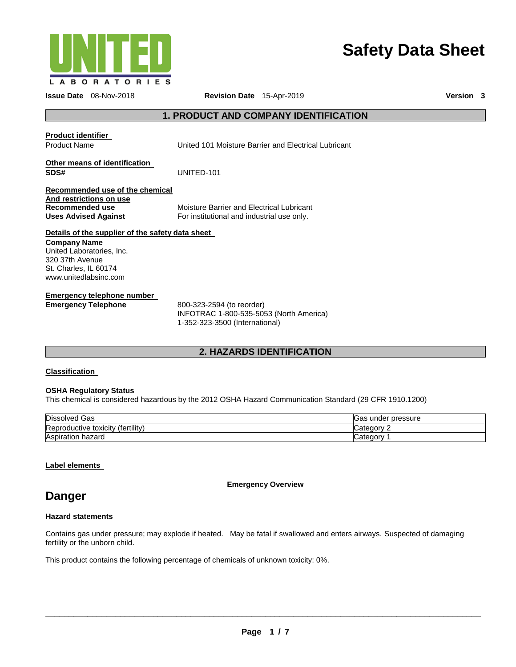

# **Safety Data Sheet**

**Issue Date** 08-Nov-2018 **Revision Date** 15-Apr-2019 **Version 3**

# **1. PRODUCT AND COMPANY IDENTIFICATION**

**Product identifier** 

Product Name United 101 Moisture Barrier and Electrical Lubricant

# **Other means of identification SDS#** UNITED-101

### **Recommended use of the chemical And restrictions on use Recommended use Uses Advised Against**

Moisture Barrier and Electrical Lubricant For institutional and industrial use only.

# **Details of the supplier of the safety data sheet**

**Company Name** United Laboratories, Inc. 320 37th Avenue St. Charles, IL 60174 www.unitedlabsinc.com

# **Emergency telephone number**

**Emergency Telephone** 800-323-2594 (to reorder) INFOTRAC 1-800-535-5053 (North America) 1-352-323-3500 (International)

# **2. HAZARDS IDENTIFICATION**

# **Classification**

# **OSHA Regulatory Status**

This chemical is considered hazardous by the 2012 OSHA Hazard Communication Standard (29 CFR 1910.1200)

| <b>Dissolved</b><br>Gas                  | pressure<br>Gas under |
|------------------------------------------|-----------------------|
| .<br>Reproductive toxicity<br>tertility, | atannn                |
| Aspiration<br>hazaro                     | Categor               |

# **Label elements**

**Emergency Overview** 

# **Danger**

# **Hazard statements**

Contains gas under pressure; may explode if heated. May be fatal if swallowed and enters airways. Suspected of damaging fertility or the unborn child.

This product contains the following percentage of chemicals of unknown toxicity: 0%.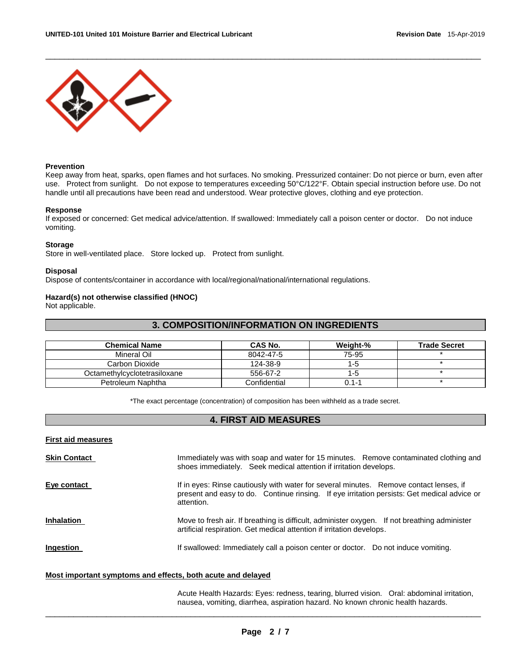

### **Prevention**

Keep away from heat, sparks, open flames and hot surfaces. No smoking. Pressurized container: Do not pierce or burn, even after use. Protect from sunlight. Do not expose to temperatures exceeding 50°C/122°F. Obtain special instruction before use. Do not handle until all precautions have been read and understood. Wear protective gloves, clothing and eye protection.

\_\_\_\_\_\_\_\_\_\_\_\_\_\_\_\_\_\_\_\_\_\_\_\_\_\_\_\_\_\_\_\_\_\_\_\_\_\_\_\_\_\_\_\_\_\_\_\_\_\_\_\_\_\_\_\_\_\_\_\_\_\_\_\_\_\_\_\_\_\_\_\_\_\_\_\_\_\_\_\_\_\_\_\_\_\_\_\_\_\_\_\_\_

### **Response**

If exposed or concerned: Get medical advice/attention. If swallowed: Immediately call a poison center or doctor. Do not induce vomiting.

### **Storage**

Store in well-ventilated place. Store locked up. Protect from sunlight.

### **Disposal**

Dispose of contents/container in accordance with local/regional/national/international regulations.

### **Hazard(s) not otherwise classified (HNOC)**

Not applicable.

# **3. COMPOSITION/INFORMATION ON INGREDIENTS**

| <b>Chemical Name</b>         | <b>CAS No.</b> | Weight-%  | <b>Trade Secret</b> |
|------------------------------|----------------|-----------|---------------------|
| Mineral Oil                  | 8042-47-5      | 75-95     |                     |
| Carbon Dioxide               | 124-38-9       | 1-5       |                     |
| Octamethylcyclotetrasiloxane | 556-67-2       | $1 - 5$   |                     |
| Petroleum Naphtha            | Confidential   | $0.1 - 1$ |                     |

\*The exact percentage (concentration) of composition has been withheld as a trade secret.

# **4. FIRST AID MEASURES**

**First aid measures**

| <b>Skin Contact</b> | Immediately was with soap and water for 15 minutes. Remove contaminated clothing and<br>shoes immediately. Seek medical attention if irritation develops.                                           |
|---------------------|-----------------------------------------------------------------------------------------------------------------------------------------------------------------------------------------------------|
| Eye contact         | If in eyes: Rinse cautiously with water for several minutes. Remove contact lenses, if<br>present and easy to do. Continue rinsing. If eye irritation persists: Get medical advice or<br>attention. |
| <b>Inhalation</b>   | Move to fresh air. If breathing is difficult, administer oxygen. If not breathing administer<br>artificial respiration. Get medical attention if irritation develops.                               |
| <b>Ingestion</b>    | If swallowed: Immediately call a poison center or doctor. Do not induce vomiting.                                                                                                                   |

### **Most important symptoms and effects, both acute and delayed**

Acute Health Hazards: Eyes: redness, tearing, blurred vision. Oral: abdominal irritation, nausea, vomiting, diarrhea, aspiration hazard. No known chronic health hazards.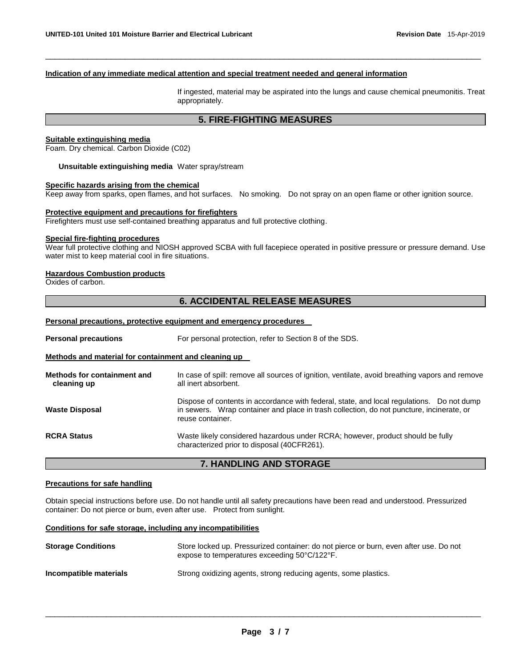# **Indication of any immediate medical attention and special treatment needed and general information**

If ingested, material may be aspirated into the lungs and cause chemical pneumonitis. Treat appropriately.

# **5. FIRE-FIGHTING MEASURES**

\_\_\_\_\_\_\_\_\_\_\_\_\_\_\_\_\_\_\_\_\_\_\_\_\_\_\_\_\_\_\_\_\_\_\_\_\_\_\_\_\_\_\_\_\_\_\_\_\_\_\_\_\_\_\_\_\_\_\_\_\_\_\_\_\_\_\_\_\_\_\_\_\_\_\_\_\_\_\_\_\_\_\_\_\_\_\_\_\_\_\_\_\_

## **Suitable extinguishing media**

Foam. Dry chemical. Carbon Dioxide (C02)

**Unsuitable extinguishing media** Water spray/stream

# **Specific hazards arising from the chemical**

Keep away from sparks, open flames, and hot surfaces. No smoking. Do not spray on an open flame or other ignition source.

### **Protective equipment and precautions for firefighters**

Firefighters must use self-contained breathing apparatus and full protective clothing.

# **Special fire-fighting procedures**

Wear full protective clothing and NIOSH approved SCBA with full facepiece operated in positive pressure or pressure demand. Use water mist to keep material cool in fire situations.

### **Hazardous Combustion products**

Oxides of carbon.

# **6. ACCIDENTAL RELEASE MEASURES**

### **Personal precautions, protective equipment and emergency procedures**

**Personal precautions For personal protection, refer to Section 8 of the SDS.** 

## **Methods and material for containment and cleaning up**

| Methods for containment and<br>cleaning up | In case of spill: remove all sources of ignition, ventilate, avoid breathing vapors and remove<br>all inert absorbent.                                                                                    |  |
|--------------------------------------------|-----------------------------------------------------------------------------------------------------------------------------------------------------------------------------------------------------------|--|
| <b>Waste Disposal</b>                      | Dispose of contents in accordance with federal, state, and local regulations. Do not dump<br>in sewers. Wrap container and place in trash collection, do not puncture, incinerate, or<br>reuse container. |  |
| <b>RCRA Status</b>                         | Waste likely considered hazardous under RCRA; however, product should be fully<br>characterized prior to disposal (40CFR261).                                                                             |  |

# **7. HANDLING AND STORAGE**

### **Precautions for safe handling**

Obtain special instructions before use. Do not handle until all safety precautions have been read and understood. Pressurized container: Do not pierce or burn, even after use. Protect from sunlight.

# **Conditions for safe storage, including any incompatibilities**

| <b>Storage Conditions</b> | Store locked up. Pressurized container: do not pierce or burn, even after use. Do not<br>expose to temperatures exceeding 50°C/122°F. |  |
|---------------------------|---------------------------------------------------------------------------------------------------------------------------------------|--|
| Incompatible materials    | Strong oxidizing agents, strong reducing agents, some plastics.                                                                       |  |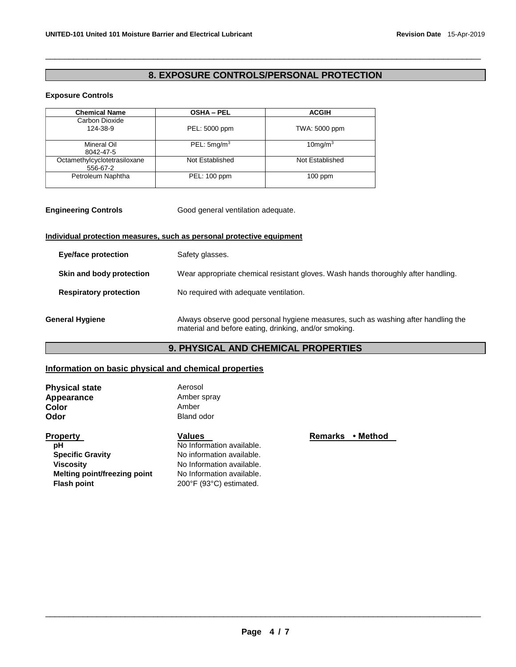# **8. EXPOSURE CONTROLS/PERSONAL PROTECTION**

\_\_\_\_\_\_\_\_\_\_\_\_\_\_\_\_\_\_\_\_\_\_\_\_\_\_\_\_\_\_\_\_\_\_\_\_\_\_\_\_\_\_\_\_\_\_\_\_\_\_\_\_\_\_\_\_\_\_\_\_\_\_\_\_\_\_\_\_\_\_\_\_\_\_\_\_\_\_\_\_\_\_\_\_\_\_\_\_\_\_\_\_\_

# **Exposure Controls**

| <b>Chemical Name</b>                     | <b>OSHA - PEL</b>      | <b>ACGIH</b>    |
|------------------------------------------|------------------------|-----------------|
| Carbon Dioxide<br>124-38-9               | PEL: 5000 ppm          | TWA: 5000 ppm   |
| Mineral Oil<br>8042-47-5                 | PEL: $5 \text{mq/m}^3$ | $10$ mg/m $3$   |
| Octamethylcyclotetrasiloxane<br>556-67-2 | Not Established        | Not Established |
| Petroleum Naphtha                        | PEL: 100 ppm           | $100$ ppm       |

| <b>Engineering Controls</b> | Good general ventilation adequate. |
|-----------------------------|------------------------------------|
|-----------------------------|------------------------------------|

# **Individual protection measures, such as personal protective equipment**

| Eye/face protection           | Safety glasses.                                                                                                                            |
|-------------------------------|--------------------------------------------------------------------------------------------------------------------------------------------|
| Skin and body protection      | Wear appropriate chemical resistant gloves. Wash hands thoroughly after handling.                                                          |
| <b>Respiratory protection</b> | No required with adequate ventilation.                                                                                                     |
| <b>General Hygiene</b>        | Always observe good personal hygiene measures, such as washing after handling the<br>material and before eating, drinking, and/or smoking. |

# **9. PHYSICAL AND CHEMICAL PROPERTIES**

# **Information on basic physical and chemical properties**

| <b>Physical state</b> | Aerosol     |
|-----------------------|-------------|
| Appearance            | Amber spray |
| Color                 | Amber       |
| Odor                  | Bland odor  |

| <b>Property</b>              | Values                    | <b>Remarks</b><br>∙ Method |
|------------------------------|---------------------------|----------------------------|
| рH                           | No Information available. |                            |
| <b>Specific Gravity</b>      | No information available. |                            |
| <b>Viscosity</b>             | No Information available. |                            |
| Melting point/freezing point | No Information available. |                            |
| <b>Flash point</b>           | 200°F (93°C) estimated.   |                            |
|                              |                           |                            |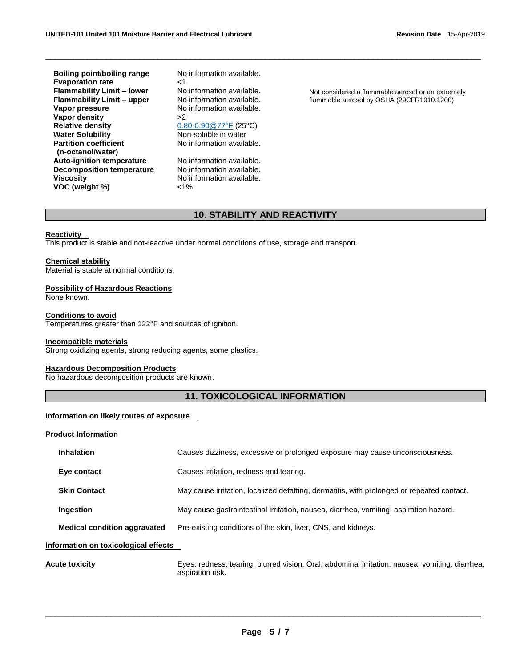**Boiling point/boiling range Evaporation rate Flammability Limit – lower Flammability Limit – upper Vapor pressure Vapor density Relative density Water Solubility Partition coefficient (n-octanol/water) Auto-ignition temperature Decomposition temperature Viscosity VOC (weight %)**

No information available.  $<sub>1</sub>$ </sub> No information available. No information available. No information available. >2 [0.80-0.90@77°F](mailto:0.80-0.90@77°F) (25°C) Non-soluble in water No information available. No information available.

No information available. No information available.  $1%$ 

Not considered a flammable aerosol or an extremely flammable aerosol by OSHA (29CFR1910.1200)

# **10. STABILITY AND REACTIVITY**

\_\_\_\_\_\_\_\_\_\_\_\_\_\_\_\_\_\_\_\_\_\_\_\_\_\_\_\_\_\_\_\_\_\_\_\_\_\_\_\_\_\_\_\_\_\_\_\_\_\_\_\_\_\_\_\_\_\_\_\_\_\_\_\_\_\_\_\_\_\_\_\_\_\_\_\_\_\_\_\_\_\_\_\_\_\_\_\_\_\_\_\_\_

### **Reactivity**

This product is stable and not-reactive under normal conditions of use, storage and transport.

### **Chemical stability**

Material is stable at normal conditions.

### **Possibility of Hazardous Reactions**

None known.

# **Conditions to avoid**

Temperatures greater than 122°F and sources of ignition.

### **Incompatible materials**

Strong oxidizing agents, strong reducing agents, some plastics.

### **Hazardous Decomposition Products**

No hazardous decomposition products are known.

# **11. TOXICOLOGICAL INFORMATION**

# **Information on likely routes of exposure**

### **Product Information**

| <b>Inhalation</b>                   | Causes dizziness, excessive or prolonged exposure may cause unconsciousness.               |  |
|-------------------------------------|--------------------------------------------------------------------------------------------|--|
| Eye contact                         | Causes irritation, redness and tearing.                                                    |  |
| <b>Skin Contact</b>                 | May cause irritation, localized defatting, dermatitis, with prolonged or repeated contact. |  |
| Ingestion                           | May cause gastrointestinal irritation, nausea, diarrhea, vomiting, aspiration hazard.      |  |
| <b>Medical condition aggravated</b> | Pre-existing conditions of the skin, liver, CNS, and kidneys.                              |  |

### **Information on toxicological effects**

**Acute toxicity** Eyes: redness, tearing, blurred vision. Oral: abdominal irritation, nausea, vomiting, diarrhea, aspiration risk.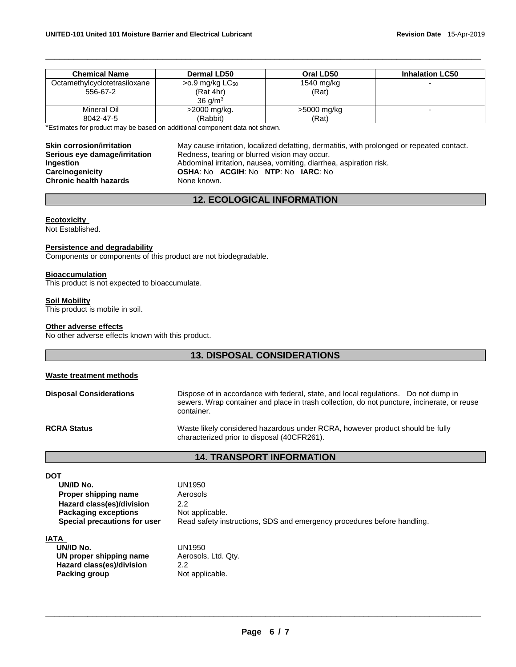| <b>Chemical Name</b>                     | <b>Dermal LD50</b>                                              | Oral LD50           | <b>Inhalation LC50</b> |
|------------------------------------------|-----------------------------------------------------------------|---------------------|------------------------|
| Octamethylcyclotetrasiloxane<br>556-67-2 | >0.9 mg/kg LC <sub>50</sub><br>(Rat 4hr)<br>36 g/m <sup>3</sup> | 1540 mg/kg<br>(Rat) |                        |
| Mineral Oil                              | >2000 mg/kg.                                                    | >5000 mg/kg         |                        |
| 8042-47-5                                | (Rabbit)                                                        | (Rat)               |                        |

\_\_\_\_\_\_\_\_\_\_\_\_\_\_\_\_\_\_\_\_\_\_\_\_\_\_\_\_\_\_\_\_\_\_\_\_\_\_\_\_\_\_\_\_\_\_\_\_\_\_\_\_\_\_\_\_\_\_\_\_\_\_\_\_\_\_\_\_\_\_\_\_\_\_\_\_\_\_\_\_\_\_\_\_\_\_\_\_\_\_\_\_\_

\*Estimates for product may be based on additional component data not shown.

**Skin corrosion/irritation Serious eye damage/irritation Ingestion Carcinogenicity Chronic health hazards**

May cause irritation, localized defatting, dermatitis, with prolonged or repeated contact. Redness, tearing or blurred vision may occur. Abdominal irritation, nausea, vomiting, diarrhea, aspiration risk. **OSHA**: No **ACGIH**: No **NTP**: No **IARC**: No None known.

# **12. ECOLOGICAL INFORMATION**

### **Ecotoxicity**

Not Established.

### **Persistence and degradability**

Components or components of this product are not biodegradable.

### **Bioaccumulation**

This product is not expected to bioaccumulate.

### **Soil Mobility**

This product is mobile in soil.

## **Other adverse effects**

No other adverse effects known with this product.

# **13. DISPOSAL CONSIDERATIONS**

## **Waste treatment methods**

| <b>Disposal Considerations</b> | Dispose of in accordance with federal, state, and local regulations. Do not dump in         |  |
|--------------------------------|---------------------------------------------------------------------------------------------|--|
|                                | sewers. Wrap container and place in trash collection, do not puncture, incinerate, or reuse |  |
|                                | container.                                                                                  |  |
|                                |                                                                                             |  |

**RCRA Status**

Waste likely considered hazardous under RCRA, however product should be fully characterized prior to disposal (40CFR261).

# **14. TRANSPORT INFORMATION**

# **DOT**

| UN/ID No.                    |
|------------------------------|
| Proper shipping name         |
| Hazard class(es)/division    |
| <b>Packaging exceptions</b>  |
| Special precautions for user |

**UN/ID No.** UN1950 **Aerosols** 2.2 Not applicable. Read safety instructions, SDS and emergency procedures before handling.

### **IATA**

| UN/ID No.                 | UN1950              |
|---------------------------|---------------------|
| UN proper shipping name   | Aerosols, Ltd. Qty. |
| Hazard class(es)/division | 2.2                 |
| Packing group             | Not applicable.     |